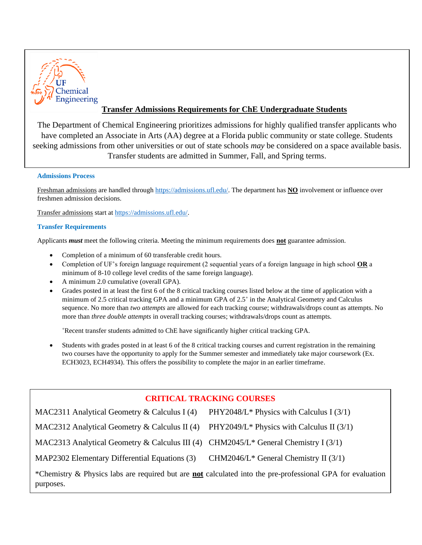

# **Transfer Admissions Requirements for ChE Undergraduate Students**

The Department of Chemical Engineering prioritizes admissions for highly qualified transfer applicants who have completed an Associate in Arts (AA) degree at a Florida public community or state college. Students seeking admissions from other universities or out of state schools *may* be considered on a space available basis. Transfer students are admitted in Summer, Fall, and Spring terms.

## **Admissions Process**

Freshman admissions are handled through [https://admissions.ufl.edu/.](https://admissions.ufl.edu/) The department has **NO** involvement or influence over freshmen admission decisions.

Transfer admissions start a[t https://admissions.ufl.edu/.](https://admissions.ufl.edu/)

## **Transfer Requirements**

Applicants *must* meet the following criteria. Meeting the minimum requirements does **not** guarantee admission.

- Completion of a minimum of 60 transferable credit hours.
- Completion of UF's foreign language requirement (2 sequential years of a foreign language in high school **OR** a minimum of 8-10 college level credits of the same foreign language).
- A minimum 2.0 cumulative (overall GPA).
- Grades posted in at least the first 6 of the 8 critical tracking courses listed below at the time of application with a minimum of 2.5 critical tracking GPA and a minimum GPA of 2.5<sup>+</sup> in the Analytical Geometry and Calculus sequence. No more than *two attempts* are allowed for each tracking course; withdrawals/drops count as attempts. No more than *three double attempts* in overall tracking courses; withdrawals/drops count as attempts.

<sup>+</sup>Recent transfer students admitted to ChE have significantly higher critical tracking GPA.

• Students with grades posted in at least 6 of the 8 critical tracking courses and current registration in the remaining two courses have the opportunity to apply for the Summer semester and immediately take major coursework (Ex. ECH3023, ECH4934). This offers the possibility to complete the major in an earlier timeframe.

## **CRITICAL TRACKING COURSES**

| MAC2311 Analytical Geometry & Calculus I $(4)$                                                                          | PHY2048/L <sup>*</sup> Physics with Calculus I $(3/1)$ |  |
|-------------------------------------------------------------------------------------------------------------------------|--------------------------------------------------------|--|
| MAC2312 Analytical Geometry $\&$ Calculus II (4)                                                                        | PHY2049/L <sup>*</sup> Physics with Calculus II (3/1)  |  |
| MAC2313 Analytical Geometry & Calculus III (4) CHM2045/L* General Chemistry I (3/1)                                     |                                                        |  |
| MAP2302 Elementary Differential Equations (3)                                                                           | CHM2046/L <sup>*</sup> General Chemistry II $(3/1)$    |  |
| *Chemistry & Physics labs are required but are not calculated into the pre-professional GPA for evaluation<br>purposes. |                                                        |  |